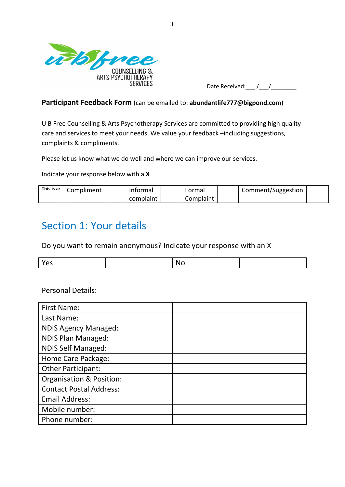

| Date Received: |  |
|----------------|--|
|                |  |

#### **Participant Feedback Form** (can be emailed to: **abundantlife777@bigpond.com**)

U B Free Counselling & Arts Psychotherapy Services are committed to providing high quality care and services to meet your needs. We value your feedback –including suggestions, complaints & compliments.

Please let us know what we do well and where we can improve our services.

Indicate your response below with a **X**

| This is a: | Compliment | Informal  | Formal    | Comment/Suggestion |  |
|------------|------------|-----------|-----------|--------------------|--|
|            |            | complaint | Complaint |                    |  |

## Section 1: Your details

Do you want to remain anonymous? Indicate your response with an X

| . . |  |  |
|-----|--|--|
|     |  |  |

### Personal Details:

| <b>First Name:</b>             |  |
|--------------------------------|--|
| Last Name:                     |  |
| <b>NDIS Agency Managed:</b>    |  |
| <b>NDIS Plan Managed:</b>      |  |
| <b>NDIS Self Managed:</b>      |  |
| Home Care Package:             |  |
| <b>Other Participant:</b>      |  |
| Organisation & Position:       |  |
| <b>Contact Postal Address:</b> |  |
| <b>Email Address:</b>          |  |
| Mobile number:                 |  |
| Phone number:                  |  |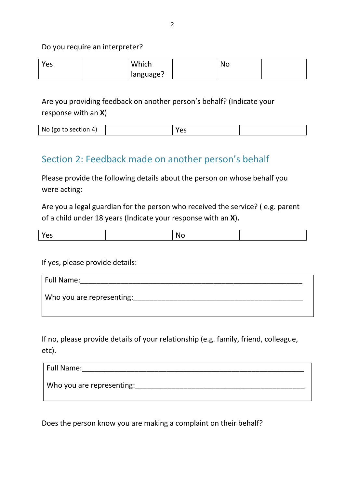### Do you require an interpreter?

| Yes | Which     | <b>NC</b> |  |
|-----|-----------|-----------|--|
|     | language? |           |  |

Are you providing feedback on another person's behalf? (Indicate your response with an **X**)

| No (go to section |  |  |  |
|-------------------|--|--|--|
|-------------------|--|--|--|

### Section 2: Feedback made on another person's behalf

Please provide the following details about the person on whose behalf you were acting:

Are you a legal guardian for the person who received the service? ( e.g. parent of a child under 18 years (Indicate your response with an **X**)**.**

|--|--|--|--|--|

If yes, please provide details:

| Full Name:                |
|---------------------------|
| Who you are representing: |
|                           |

If no, please provide details of your relationship (e.g. family, friend, colleague, etc).

| Full Name: |                           |  |  |
|------------|---------------------------|--|--|
|            | Who you are representing: |  |  |
|            |                           |  |  |

Does the person know you are making a complaint on their behalf?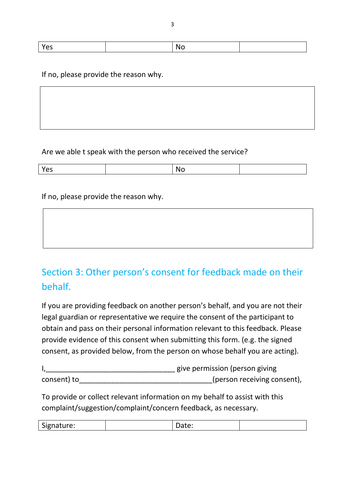| 53 | N |  |
|----|---|--|

### If no, please provide the reason why.

### Are we able t speak with the person who received the service?

| . . |  |  |
|-----|--|--|
|     |  |  |

If no, please provide the reason why.

# Section 3: Other person's consent for feedback made on their behalf.

If you are providing feedback on another person's behalf, and you are not their legal guardian or representative we require the consent of the participant to obtain and pass on their personal information relevant to this feedback. Please provide evidence of this consent when submitting this form. (e.g. the signed consent, as provided below, from the person on whose behalf you are acting).

|             | give permission (person giving |
|-------------|--------------------------------|
| consent) to | (person receiving consent),    |

To provide or collect relevant information on my behalf to assist with this complaint/suggestion/complaint/concern feedback, as necessary.

| $\sim$<br>Signature: | bucc. |  |
|----------------------|-------|--|
|                      |       |  |